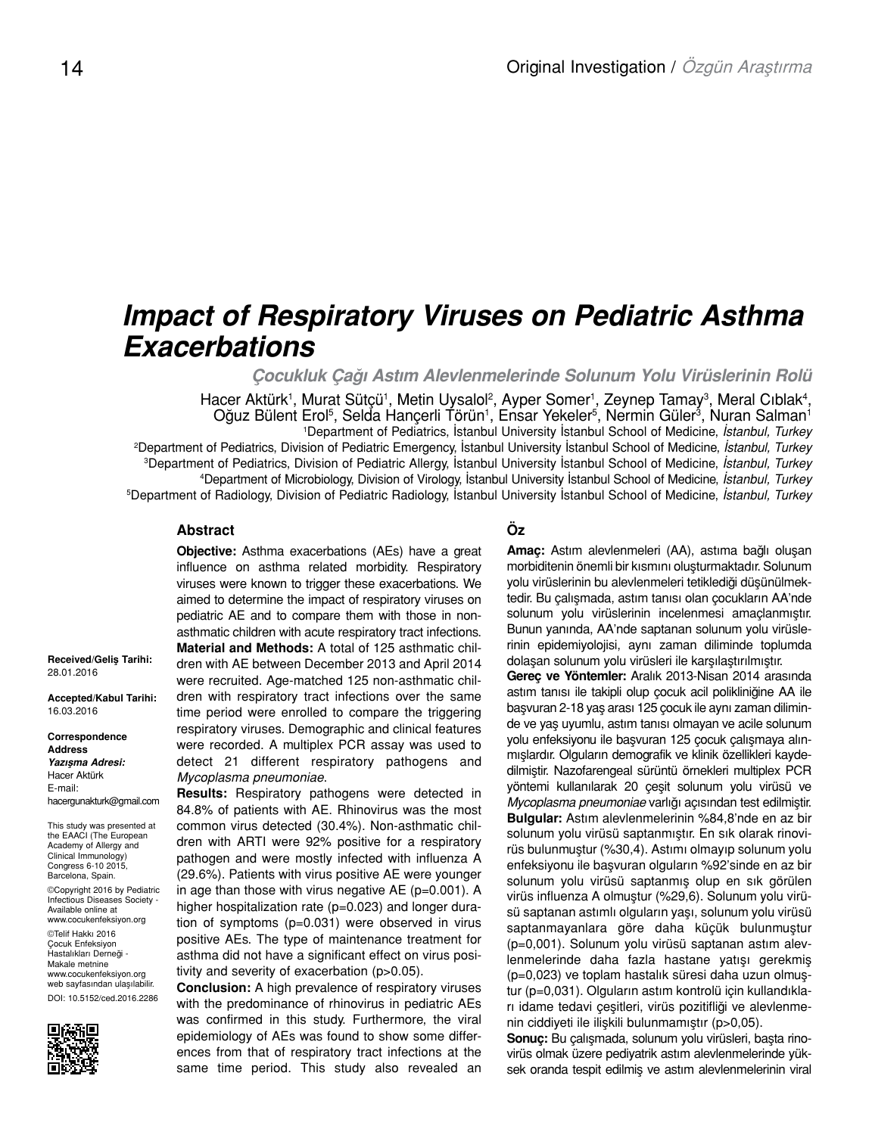# *Impact of Respiratory Viruses on Pediatric Asthma Exacerbations*

*Çocukluk Çağı Astım Alevlenmelerinde Solunum Yolu Virüslerinin Rolü*

Hacer Aktürk<sup>1</sup>, Murat Sütçü<sup>1</sup>, Metin Uysalol<sup>2</sup>, Ayper Somer<sup>1</sup>, Zeynep Tamay<sup>3</sup>, Meral Cıblak<sup>4</sup>, Oğuz Bülent Erol<sup>5</sup>, Selda Hançerli Törün<sup>1</sup>, Ensar Yekeler<sup>5</sup>, Nermin Güler<sup>3</sup>, Nuran Salman<sup>1</sup> Department of Pediatrics, İstanbul University İstanbul School of Medicine, *İstanbul, Turkey* Department of Pediatrics, Division of Pediatric Emergency, İstanbul University İstanbul School of Medicine, *İstanbul, Turkey* Department of Pediatrics, Division of Pediatric Allergy, İstanbul University İstanbul School of Medicine, *İstanbul, Turkey* Department of Microbiology, Division of Virology, İstanbul University İstanbul School of Medicine, *İstanbul, Turkey* Department of Radiology, Division of Pediatric Radiology, İstanbul University İstanbul School of Medicine, *İstanbul, Turkey*

### **Abstract**

**Objective:** Asthma exacerbations (AEs) have a great influence on asthma related morbidity. Respiratory viruses were known to trigger these exacerbations. We aimed to determine the impact of respiratory viruses on pediatric AE and to compare them with those in nonasthmatic children with acute respiratory tract infections. **Material and Methods:** A total of 125 asthmatic children with AE between December 2013 and April 2014 were recruited. Age-matched 125 non-asthmatic children with respiratory tract infections over the same time period were enrolled to compare the triggering respiratory viruses. Demographic and clinical features were recorded. A multiplex PCR assay was used to detect 21 different respiratory pathogens and *Mycoplasma pneumoniae*.

**Results:** Respiratory pathogens were detected in 84.8% of patients with AE. Rhinovirus was the most common virus detected (30.4%). Non-asthmatic children with ARTI were 92% positive for a respiratory pathogen and were mostly infected with influenza A (29.6%). Patients with virus positive AE were younger in age than those with virus negative AE (p=0.001). A higher hospitalization rate (p=0.023) and longer duration of symptoms (p=0.031) were observed in virus positive AEs. The type of maintenance treatment for asthma did not have a significant effect on virus positivity and severity of exacerbation (p>0.05).

**Conclusion:** A high prevalence of respiratory viruses with the predominance of rhinovirus in pediatric AEs was confirmed in this study. Furthermore, the viral epidemiology of AEs was found to show some differences from that of respiratory tract infections at the same time period. This study also revealed an

## **Öz**

**Amaç:** Astım alevlenmeleri (AA), astıma bağlı oluşan morbiditenin önemli bir kısmını oluşturmaktadır. Solunum yolu virüslerinin bu alevlenmeleri tetiklediği düşünülmektedir. Bu çalışmada, astım tanısı olan çocukların AA'nde solunum yolu virüslerinin incelenmesi amaçlanmıştır. Bunun yanında, AA'nde saptanan solunum yolu virüslerinin epidemiyolojisi, aynı zaman diliminde toplumda dolaşan solunum yolu virüsleri ile karşılaştırılmıştır.

**Gereç ve Yöntemler:** Aralık 2013-Nisan 2014 arasında astım tanısı ile takipli olup çocuk acil polikliniğine AA ile başvuran 2-18 yaş arası 125 çocuk ile aynı zaman diliminde ve yaş uyumlu, astım tanısı olmayan ve acile solunum yolu enfeksiyonu ile başvuran 125 çocuk çalışmaya alınmışlardır. Olguların demografik ve klinik özellikleri kaydedilmiştir. Nazofarengeal sürüntü örnekleri multiplex PCR yöntemi kullanılarak 20 çeşit solunum yolu virüsü ve *Mycoplasma pneumoniae* varlığı açısından test edilmiştir. **Bulgular:** Astım alevlenmelerinin %84,8'nde en az bir solunum yolu virüsü saptanmıştır. En sık olarak rinovirüs bulunmuştur (%30,4). Astımı olmayıp solunum yolu enfeksiyonu ile başvuran olguların %92'sinde en az bir solunum yolu virüsü saptanmış olup en sık görülen virüs influenza A olmuştur (%29,6). Solunum yolu virüsü saptanan astımlı olguların yaşı, solunum yolu virüsü saptanmayanlara göre daha küçük bulunmuştur (p=0,001). Solunum yolu virüsü saptanan astım alevlenmelerinde daha fazla hastane yatışı gerekmiş (p=0,023) ve toplam hastalık süresi daha uzun olmuştur (p=0,031). Olguların astım kontrolü için kullandıkları idame tedavi çeşitleri, virüs pozitifliği ve alevlenmenin ciddiyeti ile ilişkili bulunmamıştır (p>0,05).

**Sonuç:** Bu çalışmada, solunum yolu virüsleri, başta rinovirüs olmak üzere pediyatrik astım alevlenmelerinde yüksek oranda tespit edilmiş ve astım alevlenmelerinin viral

**Received/Geliş Tarihi:**  28.01.2016

**Accepted/Kabul Tarihi:** 16.03.2016

**Correspondence Address** *Yazışma Adresi:* Hacer Aktürk E-mail: hacergunakturk@gmail.com

This study was presented at the EAACI (The European Academy of Allergy and Clinical Immunology) Congress 6-10 2015, Barcelona, Spain. ©Copyright 2016 by Pediatric

Infectious Diseases Society - Available online at www.cocukenfeksiyon.org

©Telif Hakkı 2016 Çocuk Enfeksiyon Hastalıkları Derneği - Makale metnine www.cocukenfeksiyon.org web sayfasından ulaşılabilir. DOI: 10.5152/ced.2016.2286

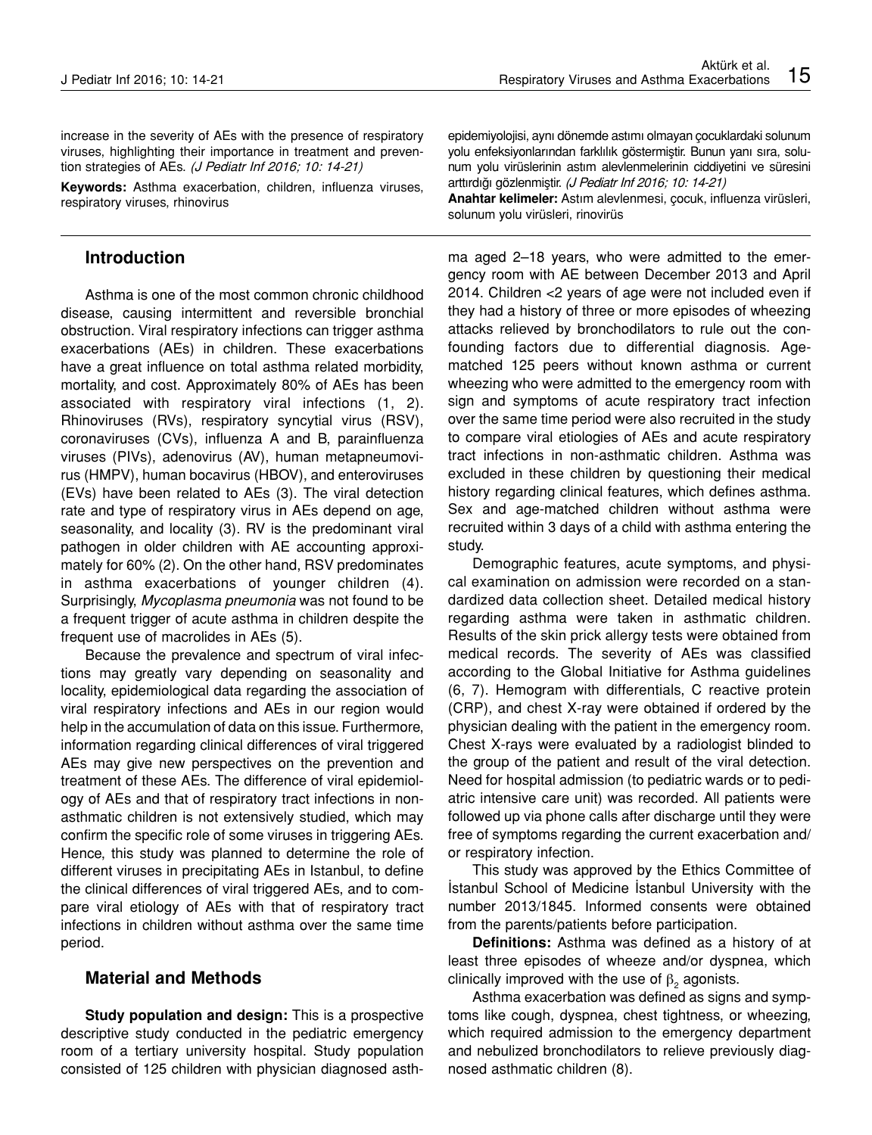increase in the severity of AEs with the presence of respiratory viruses, highlighting their importance in treatment and prevention strategies of AEs. (J Pediatr Inf 2016; 10: 14-21)

**Keywords:** Asthma exacerbation, children, influenza viruses, respiratory viruses, rhinovirus

## **Introduction**

Asthma is one of the most common chronic childhood disease, causing intermittent and reversible bronchial obstruction. Viral respiratory infections can trigger asthma exacerbations (AEs) in children. These exacerbations have a great influence on total asthma related morbidity, mortality, and cost. Approximately 80% of AEs has been associated with respiratory viral infections (1, 2). Rhinoviruses (RVs), respiratory syncytial virus (RSV), coronaviruses (CVs), influenza A and B, parainfluenza viruses (PIVs), adenovirus (AV), human metapneumovirus (HMPV), human bocavirus (HBOV), and enteroviruses (EVs) have been related to AEs (3). The viral detection rate and type of respiratory virus in AEs depend on age, seasonality, and locality (3). RV is the predominant viral pathogen in older children with AE accounting approximately for 60% (2). On the other hand, RSV predominates in asthma exacerbations of younger children (4). Surprisingly, *Mycoplasma pneumonia* was not found to be a frequent trigger of acute asthma in children despite the frequent use of macrolides in AEs (5).

Because the prevalence and spectrum of viral infections may greatly vary depending on seasonality and locality, epidemiological data regarding the association of viral respiratory infections and AEs in our region would help in the accumulation of data on this issue. Furthermore, information regarding clinical differences of viral triggered AEs may give new perspectives on the prevention and treatment of these AEs. The difference of viral epidemiology of AEs and that of respiratory tract infections in nonasthmatic children is not extensively studied, which may confirm the specific role of some viruses in triggering AEs. Hence, this study was planned to determine the role of different viruses in precipitating AEs in Istanbul, to define the clinical differences of viral triggered AEs, and to compare viral etiology of AEs with that of respiratory tract infections in children without asthma over the same time period.

# **Material and Methods**

**Study population and design:** This is a prospective descriptive study conducted in the pediatric emergency room of a tertiary university hospital. Study population consisted of 125 children with physician diagnosed asthepidemiyolojisi, aynı dönemde astımı olmayan çocuklardaki solunum yolu enfeksiyonlarından farklılık göstermiştir. Bunun yanı sıra, solunum yolu virüslerinin astım alevlenmelerinin ciddiyetini ve süresini arttırdığı gözlenmiştir. (J Pediatr Inf 2016; 10: 14-21)

**Anahtar kelimeler:** Astım alevlenmesi, çocuk, influenza virüsleri, solunum yolu virüsleri, rinovirüs

ma aged 2–18 years, who were admitted to the emergency room with AE between December 2013 and April 2014. Children <2 years of age were not included even if they had a history of three or more episodes of wheezing attacks relieved by bronchodilators to rule out the confounding factors due to differential diagnosis. Agematched 125 peers without known asthma or current wheezing who were admitted to the emergency room with sign and symptoms of acute respiratory tract infection over the same time period were also recruited in the study to compare viral etiologies of AEs and acute respiratory tract infections in non-asthmatic children. Asthma was excluded in these children by questioning their medical history regarding clinical features, which defines asthma. Sex and age-matched children without asthma were recruited within 3 days of a child with asthma entering the study.

Demographic features, acute symptoms, and physical examination on admission were recorded on a standardized data collection sheet. Detailed medical history regarding asthma were taken in asthmatic children. Results of the skin prick allergy tests were obtained from medical records. The severity of AEs was classified according to the Global Initiative for Asthma guidelines (6, 7). Hemogram with differentials, C reactive protein (CRP), and chest X-ray were obtained if ordered by the physician dealing with the patient in the emergency room. Chest X-rays were evaluated by a radiologist blinded to the group of the patient and result of the viral detection. Need for hospital admission (to pediatric wards or to pediatric intensive care unit) was recorded. All patients were followed up via phone calls after discharge until they were free of symptoms regarding the current exacerbation and/ or respiratory infection.

This study was approved by the Ethics Committee of İstanbul School of Medicine İstanbul University with the number 2013/1845. Informed consents were obtained from the parents/patients before participation.

**Definitions:** Asthma was defined as a history of at least three episodes of wheeze and/or dyspnea, which clinically improved with the use of  $\beta_2$  agonists.

Asthma exacerbation was defined as signs and symptoms like cough, dyspnea, chest tightness, or wheezing, which required admission to the emergency department and nebulized bronchodilators to relieve previously diagnosed asthmatic children (8).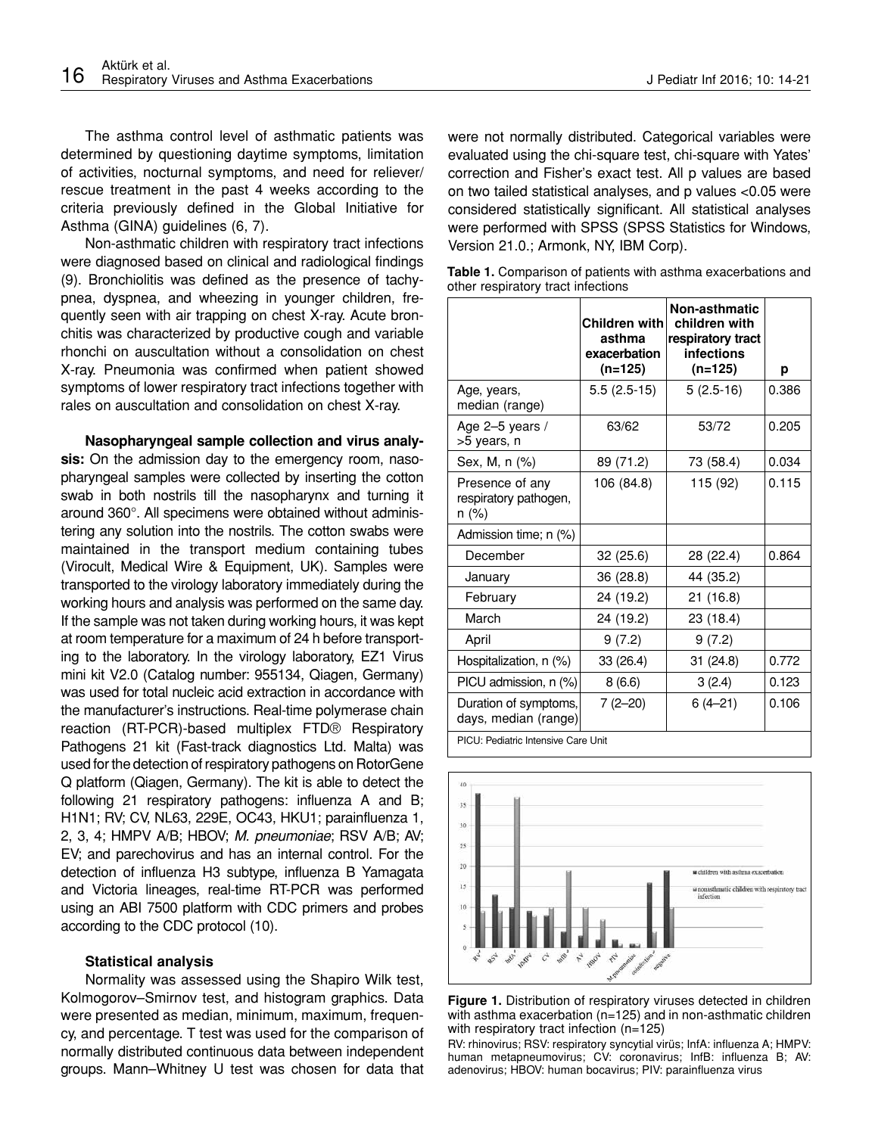The asthma control level of asthmatic patients was determined by questioning daytime symptoms, limitation of activities, nocturnal symptoms, and need for reliever/ rescue treatment in the past 4 weeks according to the criteria previously defined in the Global Initiative for Asthma (GINA) guidelines (6, 7).

Non-asthmatic children with respiratory tract infections were diagnosed based on clinical and radiological findings (9). Bronchiolitis was defined as the presence of tachypnea, dyspnea, and wheezing in younger children, frequently seen with air trapping on chest X-ray. Acute bronchitis was characterized by productive cough and variable rhonchi on auscultation without a consolidation on chest X-ray. Pneumonia was confirmed when patient showed symptoms of lower respiratory tract infections together with rales on auscultation and consolidation on chest X-ray.

**Nasopharyngeal sample collection and virus analysis:** On the admission day to the emergency room, nasopharyngeal samples were collected by inserting the cotton swab in both nostrils till the nasopharynx and turning it around 360°. All specimens were obtained without administering any solution into the nostrils. The cotton swabs were maintained in the transport medium containing tubes (Virocult, Medical Wire & Equipment, UK). Samples were transported to the virology laboratory immediately during the working hours and analysis was performed on the same day. If the sample was not taken during working hours, it was kept at room temperature for a maximum of 24 h before transporting to the laboratory. In the virology laboratory, EZ1 Virus mini kit V2.0 (Catalog number: 955134, Qiagen, Germany) was used for total nucleic acid extraction in accordance with the manufacturer's instructions. Real-time polymerase chain reaction (RT-PCR)-based multiplex FTD® Respiratory Pathogens 21 kit (Fast-track diagnostics Ltd. Malta) was used for the detection of respiratory pathogens on RotorGene Q platform (Qiagen, Germany). The kit is able to detect the following 21 respiratory pathogens[: influenza A and B;](http://www.fast-trackdiagnostics.com/products/5/ftd_respiratory_pathogens_21/) [H1N1; RV; CV, NL63, 229E, OC43, HKU1; parainfluenza 1,](http://www.fast-trackdiagnostics.com/products/5/ftd_respiratory_pathogens_21/) [2, 3, 4; HMPV A/B; HBOV;](http://www.fast-trackdiagnostics.com/products/5/ftd_respiratory_pathogens_21/) *M. pneumoniae*; RSV A/B; AV; [EV; and parechovirus and has an internal control.](http://www.fast-trackdiagnostics.com/products/5/ftd_respiratory_pathogens_21/) For the detection of influenza H3 subtype, influenza B Yamagata and Victoria lineages, real-time RT-PCR was performed using an ABI 7500 platform with CDC primers and probes according to the CDC protocol (10).

#### **Statistical analysis**

Normality was assessed using the Shapiro Wilk test, Kolmogorov–Smirnov test, and histogram graphics. Data were presented as median, minimum, maximum, frequency, and percentage. T test was used for the comparison of normally distributed continuous data between independent groups. Mann–Whitney U test was chosen for data that

were not normally distributed. Categorical variables were evaluated using the chi-square test, chi-square with Yates' correction and Fisher's exact test. All p values are based on two tailed statistical analyses, and p values <0.05 were considered statistically significant. All statistical analyses were performed with SPSS (SPSS Statistics for Windows, Version 21.0.; Armonk, NY, IBM Corp).

| Table 1. Comparison of patients with asthma exacerbations and |  |
|---------------------------------------------------------------|--|
| other respiratory tract infections                            |  |

|                                                   | Children with<br>asthma<br>exacerbation<br>$(n=125)$ | Non-asthmatic<br>children with<br>respiratory tract<br>infections<br>$(n=125)$ | р     |  |
|---------------------------------------------------|------------------------------------------------------|--------------------------------------------------------------------------------|-------|--|
| Age, years,<br>median (range)                     | $5.5(2.5-15)$                                        | $5(2.5-16)$                                                                    | 0.386 |  |
| Age 2-5 years /<br>>5 years, n                    | 63/62                                                | 53/72                                                                          | 0.205 |  |
| Sex, M, n (%)                                     | 89 (71.2)                                            | 73 (58.4)                                                                      | 0.034 |  |
| Presence of any<br>respiratory pathogen,<br>n (%) | 106 (84.8)                                           | 115 (92)                                                                       | 0.115 |  |
| Admission time; n (%)                             |                                                      |                                                                                |       |  |
| December                                          | 32 (25.6)                                            | 28 (22.4)                                                                      | 0.864 |  |
| January                                           | 36 (28.8)                                            | 44 (35.2)                                                                      |       |  |
| February                                          | 24 (19.2)                                            | 21(16.8)                                                                       |       |  |
| March                                             | 24 (19.2)                                            | 23 (18.4)                                                                      |       |  |
| April                                             | 9(7.2)                                               | 9(7.2)                                                                         |       |  |
| Hospitalization, n (%)                            | 33 (26.4)                                            | 31 (24.8)                                                                      | 0.772 |  |
| PICU admission, n (%)                             | 8(6.6)                                               | 3(2.4)                                                                         | 0.123 |  |
| Duration of symptoms,<br>days, median (range)     | $7(2 - 20)$                                          | $6(4 - 21)$                                                                    | 0.106 |  |
| PICU: Pediatric Intensive Care Unit               |                                                      |                                                                                |       |  |



**Figure 1.** Distribution of respiratory viruses detected in children with asthma exacerbation (n=125) and in non-asthmatic children with respiratory tract infection (n=125)

RV: rhinovirus; RSV: respiratory syncytial virüs; InfA: influenza A; HMPV: human metapneumovirus; CV: coronavirus; InfB: influenza B; AV: adenovirus; HBOV: human bocavirus; PIV: parainfluenza virus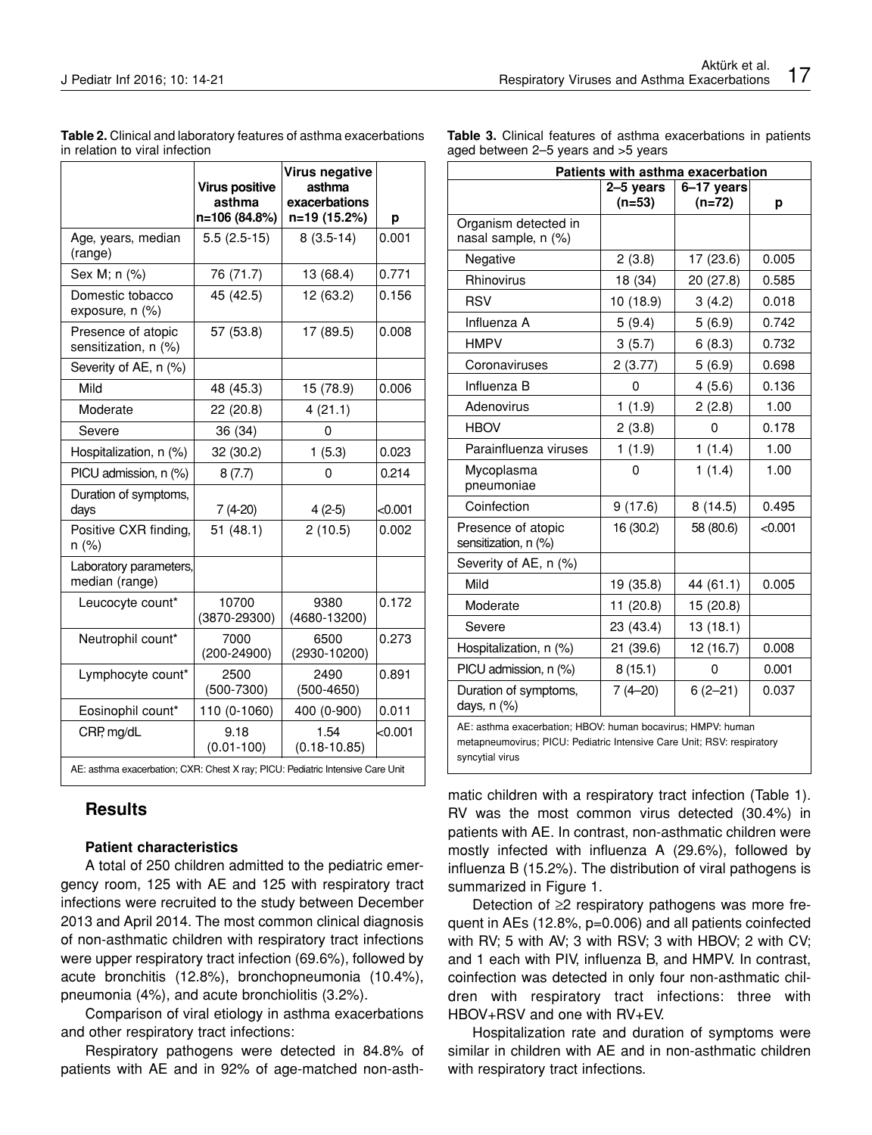|                                                                                | <b>Virus positive</b><br>asthma<br>n=106 (84.8%) | Virus negative<br>asthma<br>exacerbations<br>n=19 (15.2%) | р       |  |
|--------------------------------------------------------------------------------|--------------------------------------------------|-----------------------------------------------------------|---------|--|
| Age, years, median<br>(range)                                                  | $5.5(2.5-15)$                                    | $8(3.5-14)$                                               | 0.001   |  |
| Sex M; n (%)                                                                   | 76 (71.7)                                        | 13 (68.4)                                                 | 0.771   |  |
| Domestic tobacco<br>exposure, n (%)                                            | 45 (42.5)                                        | 12 (63.2)                                                 | 0.156   |  |
| Presence of atopic<br>sensitization, n (%)                                     | 57 (53.8)                                        | 17 (89.5)                                                 | 0.008   |  |
| Severity of AE, n (%)                                                          |                                                  |                                                           |         |  |
| Mild                                                                           | 48 (45.3)                                        | 15 (78.9)                                                 | 0.006   |  |
| Moderate                                                                       | 22(20.8)                                         | 4(21.1)                                                   |         |  |
| Severe                                                                         | 36 (34)                                          | 0                                                         |         |  |
| Hospitalization, n (%)                                                         | 32 (30.2)                                        | 1(5.3)                                                    | 0.023   |  |
| PICU admission, n (%)                                                          | 8(7.7)                                           | 0                                                         | 0.214   |  |
| Duration of symptoms,<br>days                                                  | 7 (4-20)                                         | $4(2-5)$                                                  | <0.001  |  |
| Positive CXR finding,<br>n (%)                                                 | 51(48.1)                                         | 2(10.5)                                                   | 0.002   |  |
| Laboratory parameters,<br>median (range)                                       |                                                  |                                                           |         |  |
| Leucocyte count*                                                               | 10700<br>$(3870 - 29300)$                        | 9380<br>$(4680 - 13200)$                                  | 0.172   |  |
| Neutrophil count*                                                              | 7000<br>$(200 - 24900)$                          | 6500<br>(2930-10200)                                      | 0.273   |  |
| Lymphocyte count*                                                              | 2500<br>$(500 - 7300)$                           | 2490<br>$(500-4650)$                                      | 0.891   |  |
| Eosinophil count*                                                              | 110 (0-1060)                                     | 400 (0-900)                                               | 0.011   |  |
| CRP, mg/dL                                                                     | 9.18<br>$(0.01 - 100)$                           | 1.54<br>$(0.18 - 10.85)$                                  | < 0.001 |  |
| AE: asthma exacerbation; CXR: Chest X ray; PICU: Pediatric Intensive Care Unit |                                                  |                                                           |         |  |

**Table 2.** Clinical and laboratory features of asthma exacerbations in relation to viral infection

**Results**

## **Patient characteristics**

A total of 250 children admitted to the pediatric emergency room, 125 with AE and 125 with respiratory tract infections were recruited to the study between December 2013 and April 2014. The most common clinical diagnosis of non-asthmatic children with respiratory tract infections were upper respiratory tract infection (69.6%), followed by acute bronchitis (12.8%), bronchopneumonia (10.4%), pneumonia (4%), and acute bronchiolitis (3.2%).

Comparison of viral etiology in asthma exacerbations and other respiratory tract infections:

Respiratory pathogens were detected in 84.8% of patients with AE and in 92% of age-matched non-asth**Table 3.** Clinical features of asthma exacerbations in patients aged between 2–5 years and >5 years

| Patients with asthma exacerbation                                                                                                                        |             |             |         |  |  |
|----------------------------------------------------------------------------------------------------------------------------------------------------------|-------------|-------------|---------|--|--|
|                                                                                                                                                          | 2-5 years   | 6-17 years  |         |  |  |
|                                                                                                                                                          | $(n=53)$    | (n=72)      | р       |  |  |
| Organism detected in<br>nasal sample, n (%)                                                                                                              |             |             |         |  |  |
| Negative                                                                                                                                                 | 2(3.8)      | 17 (23.6)   | 0.005   |  |  |
| Rhinovirus                                                                                                                                               | 18 (34)     | 20 (27.8)   | 0.585   |  |  |
| RSV                                                                                                                                                      | 10 (18.9)   | 3(4.2)      | 0.018   |  |  |
| Influenza A                                                                                                                                              | 5(9.4)      | 5(6.9)      | 0.742   |  |  |
| <b>HMPV</b>                                                                                                                                              | 3(5.7)      | 6(8.3)      | 0.732   |  |  |
| Coronaviruses                                                                                                                                            | 2(3.77)     | 5(6.9)      | 0.698   |  |  |
| Influenza B                                                                                                                                              | 0           | 4(5.6)      | 0.136   |  |  |
| Adenovirus                                                                                                                                               | 1(1.9)      | 2(2.8)      | 1.00    |  |  |
| <b>HBOV</b>                                                                                                                                              | 2(3.8)      | 0           | 0.178   |  |  |
| Parainfluenza viruses                                                                                                                                    | 1(1.9)      | 1(1.4)      | 1.00    |  |  |
| Mycoplasma<br>pneumoniae                                                                                                                                 | 0           | 1(1.4)      | 1.00    |  |  |
| Coinfection                                                                                                                                              | 9(17.6)     | 8 (14.5)    | 0.495   |  |  |
| Presence of atopic<br>sensitization, n (%)                                                                                                               | 16 (30.2)   | 58 (80.6)   | < 0.001 |  |  |
| Severity of AE, n (%)                                                                                                                                    |             |             |         |  |  |
| Mild                                                                                                                                                     | 19 (35.8)   | 44 (61.1)   | 0.005   |  |  |
| Moderate                                                                                                                                                 | 11 (20.8)   | 15 (20.8)   |         |  |  |
| Severe                                                                                                                                                   | 23 (43.4)   | 13 (18.1)   |         |  |  |
| Hospitalization, n (%)                                                                                                                                   | 21 (39.6)   | 12 (16.7)   | 0.008   |  |  |
| PICU admission, n (%)                                                                                                                                    | 8(15.1)     | 0           | 0.001   |  |  |
| Duration of symptoms,<br>days, n (%)                                                                                                                     | $7(4 - 20)$ | $6(2 - 21)$ | 0.037   |  |  |
| AE: asthma exacerbation; HBOV: human bocavirus; HMPV: human<br>metapneumovirus; PICU: Pediatric Intensive Care Unit; RSV: respiratory<br>syncytial virus |             |             |         |  |  |

matic children with a respiratory tract infection (Table 1). RV was the most common virus detected (30.4%) in patients with AE. In contrast, non-asthmatic children were mostly infected with influenza A (29.6%), followed by influenza B (15.2%). The distribution of viral pathogens is summarized in Figure 1.

Detection of ≥2 respiratory pathogens was more frequent in AEs (12.8%, p=0.006) and all patients coinfected with RV; 5 with AV; 3 with RSV; 3 with HBOV; 2 with CV; and 1 each with PIV, influenza B, and HMPV. In contrast, coinfection was detected in only four non-asthmatic children with respiratory tract infections: three with HBOV+RSV and one with RV+EV.

Hospitalization rate and duration of symptoms were similar in children with AE and in non-asthmatic children with respiratory tract infections.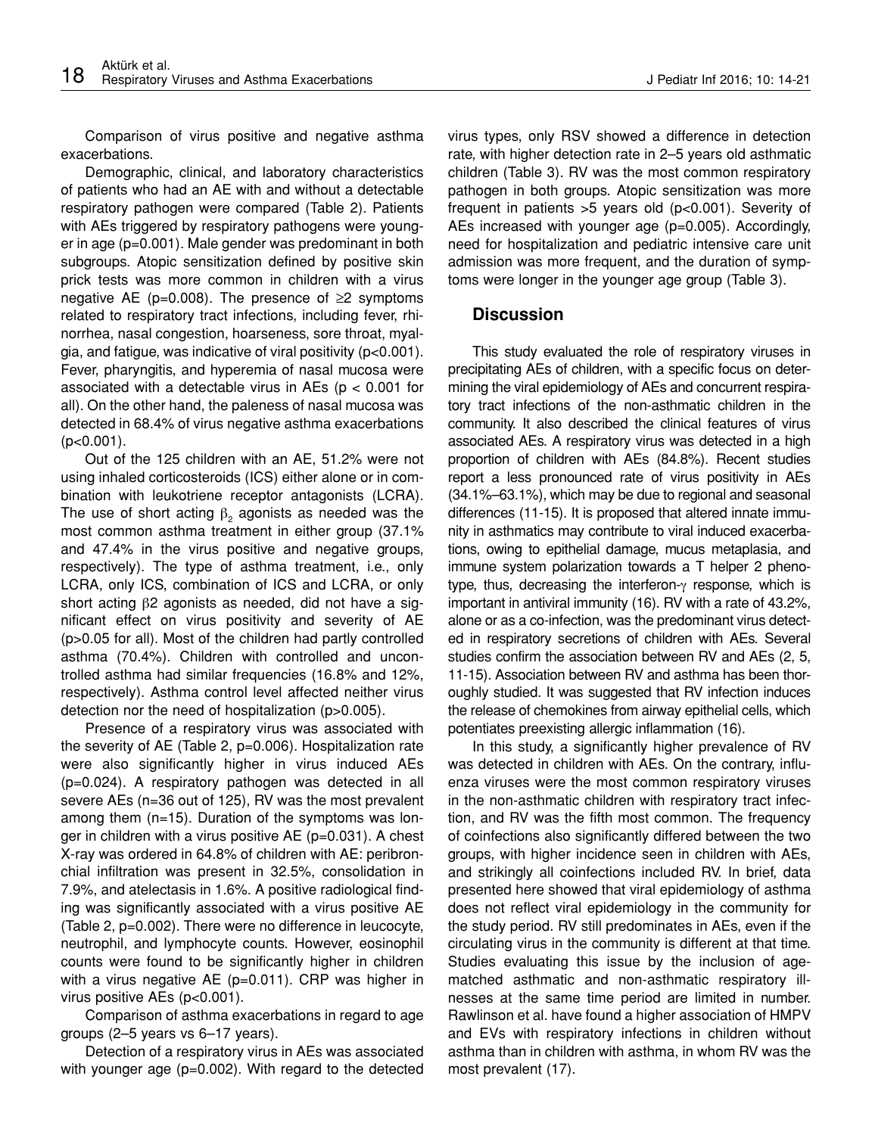Comparison of virus positive and negative asthma exacerbations.

Demographic, clinical, and laboratory characteristics of patients who had an AE with and without a detectable respiratory pathogen were compared (Table 2). Patients with AEs triggered by respiratory pathogens were younger in age (p=0.001). Male gender was predominant in both subgroups. Atopic sensitization defined by positive skin prick tests was more common in children with a virus negative AE ( $p=0.008$ ). The presence of  $\geq 2$  symptoms related to respiratory tract infections, including fever, rhinorrhea, nasal congestion, hoarseness, sore throat, myalgia, and fatigue, was indicative of viral positivity (p<0.001). Fever, pharyngitis, and hyperemia of nasal mucosa were associated with a detectable virus in AEs ( $p < 0.001$  for all). On the other hand, the paleness of nasal mucosa was detected in 68.4% of virus negative asthma exacerbations (p<0.001).

Out of the 125 children with an AE, 51.2% were not using inhaled corticosteroids (ICS) either alone or in combination with leukotriene receptor antagonists (LCRA). The use of short acting  $\beta_2$  agonists as needed was the most common asthma treatment in either group (37.1% and 47.4% in the virus positive and negative groups, respectively). The type of asthma treatment, i.e., only LCRA, only ICS, combination of ICS and LCRA, or only short acting β2 agonists as needed, did not have a significant effect on virus positivity and severity of AE (p>0.05 for all). Most of the children had partly controlled asthma (70.4%). Children with controlled and uncontrolled asthma had similar frequencies (16.8% and 12%, respectively). Asthma control level affected neither virus detection nor the need of hospitalization (p>0.005).

Presence of a respiratory virus was associated with the severity of AE (Table 2, p=0.006). Hospitalization rate were also significantly higher in virus induced AEs (p=0.024). A respiratory pathogen was detected in all severe AEs (n=36 out of 125), RV was the most prevalent among them (n=15). Duration of the symptoms was longer in children with a virus positive AE (p=0.031). A chest X-ray was ordered in 64.8% of children with AE: peribronchial infiltration was present in 32.5%, consolidation in 7.9%, and atelectasis in 1.6%. A positive radiological finding was significantly associated with a virus positive AE (Table 2, p=0.002). There were no difference in leucocyte, neutrophil, and lymphocyte counts. However, eosinophil counts were found to be significantly higher in children with a virus negative AE (p=0.011). CRP was higher in virus positive AEs (p<0.001).

Comparison of asthma exacerbations in regard to age groups (2–5 years vs 6–17 years).

Detection of a respiratory virus in AEs was associated with younger age (p=0.002). With regard to the detected virus types, only RSV showed a difference in detection rate, with higher detection rate in 2–5 years old asthmatic children (Table 3). RV was the most common respiratory pathogen in both groups. Atopic sensitization was more frequent in patients >5 years old (p<0.001). Severity of AEs increased with younger age (p=0.005). Accordingly, need for hospitalization and pediatric intensive care unit admission was more frequent, and the duration of symptoms were longer in the younger age group (Table 3).

# **Discussion**

This study evaluated the role of respiratory viruses in precipitating AEs of children, with a specific focus on determining the viral epidemiology of AEs and concurrent respiratory tract infections of the non-asthmatic children in the community. It also described the clinical features of virus associated AEs. A respiratory virus was detected in a high proportion of children with AEs (84.8%). Recent studies report a less pronounced rate of virus positivity in AEs (34.1%–63.1%), which may be due to regional and seasonal differences (11-15). It is proposed that altered innate immunity in asthmatics may contribute to viral induced exacerbations, owing to epithelial damage, mucus metaplasia, and immune system polarization towards a T helper 2 phenotype, thus, decreasing the interferon-γ response, which is important in antiviral immunity (16). RV with a rate of 43.2%, alone or as a co-infection, was the predominant virus detected in respiratory secretions of children with AEs. Several studies confirm the association between RV and AEs (2, 5, 11-15). Association between RV and asthma has been thoroughly studied. It was suggested that RV infection induces the release of chemokines from airway epithelial cells, which potentiates preexisting allergic inflammation (16).

In this study, a significantly higher prevalence of RV was detected in children with AEs. On the contrary, influenza viruses were the most common respiratory viruses in the non-asthmatic children with respiratory tract infection, and RV was the fifth most common. The frequency of coinfections also significantly differed between the two groups, with higher incidence seen in children with AEs, and strikingly all coinfections included RV. In brief, data presented here showed that viral epidemiology of asthma does not reflect viral epidemiology in the community for the study period. RV still predominates in AEs, even if the circulating virus in the community is different at that time. Studies evaluating this issue by the inclusion of agematched asthmatic and non-asthmatic respiratory illnesses at the same time period are limited in number. Rawlinson et al. have found a higher association of HMPV and EVs with respiratory infections in children without asthma than in children with asthma, in whom RV was the most prevalent (17).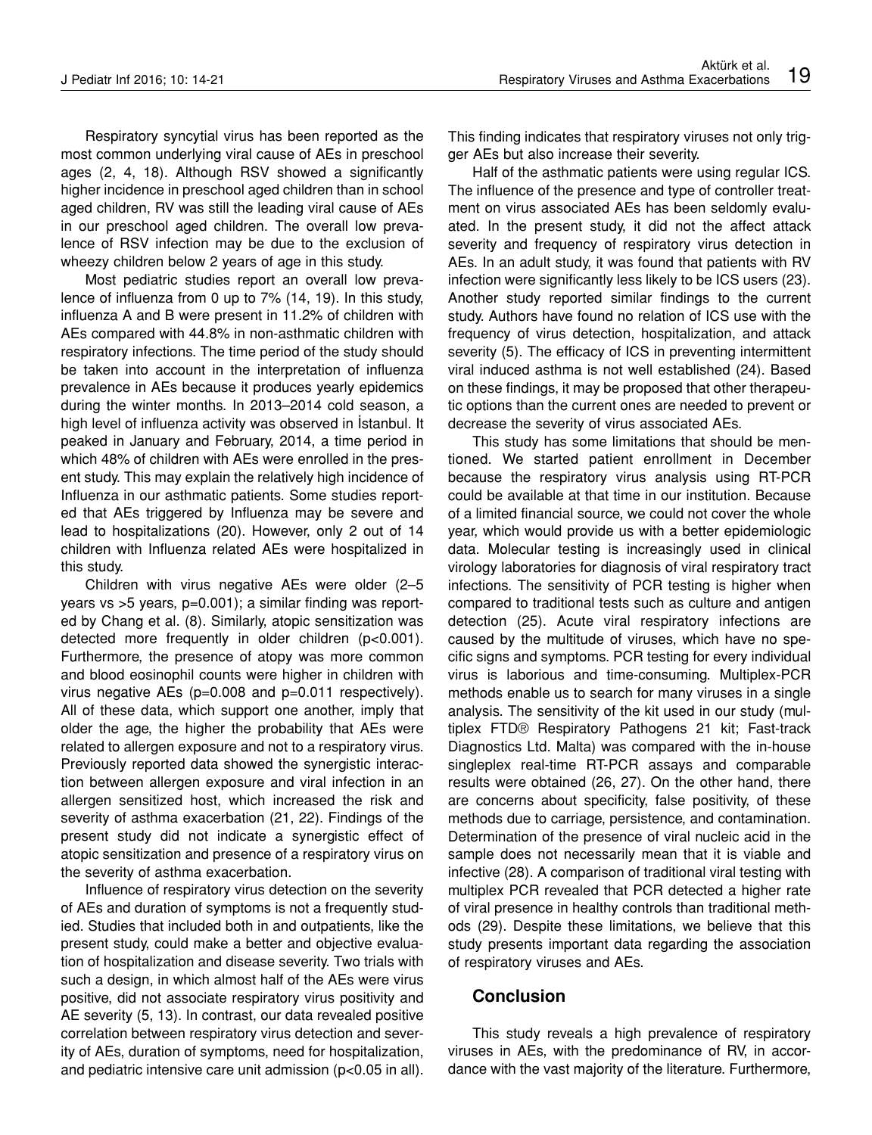Respiratory syncytial virus has been reported as the most common underlying viral cause of AEs in preschool ages (2, 4, 18). Although RSV showed a significantly higher incidence in preschool aged children than in school aged children, RV was still the leading viral cause of AEs in our preschool aged children. The overall low prevalence of RSV infection may be due to the exclusion of wheezy children below 2 years of age in this study.

Most pediatric studies report an overall low prevalence of influenza from 0 up to 7% (14, 19). In this study, influenza A and B were present in 11.2% of children with AEs compared with 44.8% in non-asthmatic children with respiratory infections. The time period of the study should be taken into account in the interpretation of influenza prevalence in AEs because it produces yearly epidemics during the winter months. In 2013–2014 cold season, a high level of influenza activity was observed in İstanbul. It peaked in January and February, 2014, a time period in which 48% of children with AEs were enrolled in the present study. This may explain the relatively high incidence of Influenza in our asthmatic patients. Some studies reported that AEs triggered by Influenza may be severe and lead to hospitalizations (20). However, only 2 out of 14 children with Influenza related AEs were hospitalized in this study.

Children with virus negative AEs were older (2–5 years vs >5 years, p=0.001); a similar finding was reported by Chang et al. (8). Similarly, atopic sensitization was detected more frequently in older children (p<0.001). Furthermore, the presence of atopy was more common and blood eosinophil counts were higher in children with virus negative AEs (p=0.008 and p=0.011 respectively). All of these data, which support one another, imply that older the age, the higher the probability that AEs were related to allergen exposure and not to a respiratory virus. Previously reported data showed the synergistic interaction between allergen exposure and viral infection in an allergen sensitized host, which increased the risk and severity of asthma exacerbation (21, 22). Findings of the present study did not indicate a synergistic effect of atopic sensitization and presence of a respiratory virus on the severity of asthma exacerbation.

Influence of respiratory virus detection on the severity of AEs and duration of symptoms is not a frequently studied. Studies that included both in and outpatients, like the present study, could make a better and objective evaluation of hospitalization and disease severity. Two trials with such a design, in which almost half of the AEs were virus positive, did not associate respiratory virus positivity and AE severity (5, 13). In contrast, our data revealed positive correlation between respiratory virus detection and severity of AEs, duration of symptoms, need for hospitalization, and pediatric intensive care unit admission (p<0.05 in all). This finding indicates that respiratory viruses not only trigger AEs but also increase their severity.

Half of the asthmatic patients were using regular ICS. The influence of the presence and type of controller treatment on virus associated AEs has been seldomly evaluated. In the present study, it did not the affect attack severity and frequency of respiratory virus detection in AEs. In an adult study, it was found that patients with RV infection were significantly less likely to be ICS users (23). Another study reported similar findings to the current study. Authors have found no relation of ICS use with the frequency of virus detection, hospitalization, and attack severity (5). The efficacy of ICS in preventing intermittent viral induced asthma is not well established (24). Based on these findings, it may be proposed that other therapeutic options than the current ones are needed to prevent or decrease the severity of virus associated AEs.

This study has some limitations that should be mentioned. We started patient enrollment in December because the respiratory virus analysis using RT-PCR could be available at that time in our institution. Because of a limited financial source, we could not cover the whole year, which would provide us with a better epidemiologic data. Molecular testing is increasingly used in clinical virology laboratories for diagnosis of viral respiratory tract infections. The sensitivity of PCR testing is higher when compared to traditional tests such as culture and antigen detection (25). Acute viral respiratory infections are caused by the multitude of viruses, which have no specific signs and symptoms. PCR testing for every individual virus is laborious and time-consuming. Multiplex-PCR methods enable us to search for many viruses in a single analysis. The sensitivity of the kit used in our study (multiplex FTD® Respiratory Pathogens 21 kit; Fast-track Diagnostics Ltd. Malta) was compared with the in-house singleplex real-time RT-PCR assays and comparable results were obtained (26, 27). On the other hand, there are concerns about specificity, false positivity, of these methods due to carriage, persistence, and contamination. Determination of the presence of viral nucleic acid in the sample does not necessarily mean that it is viable and infective (28). A comparison of traditional viral testing with multiplex PCR revealed that PCR detected a higher rate of viral presence in healthy controls than traditional methods (29). Despite these limitations, we believe that this study presents important data regarding the association of respiratory viruses and AEs.

## **Conclusion**

This study reveals a high prevalence of respiratory viruses in AEs, with the predominance of RV, in accordance with the vast majority of the literature. Furthermore,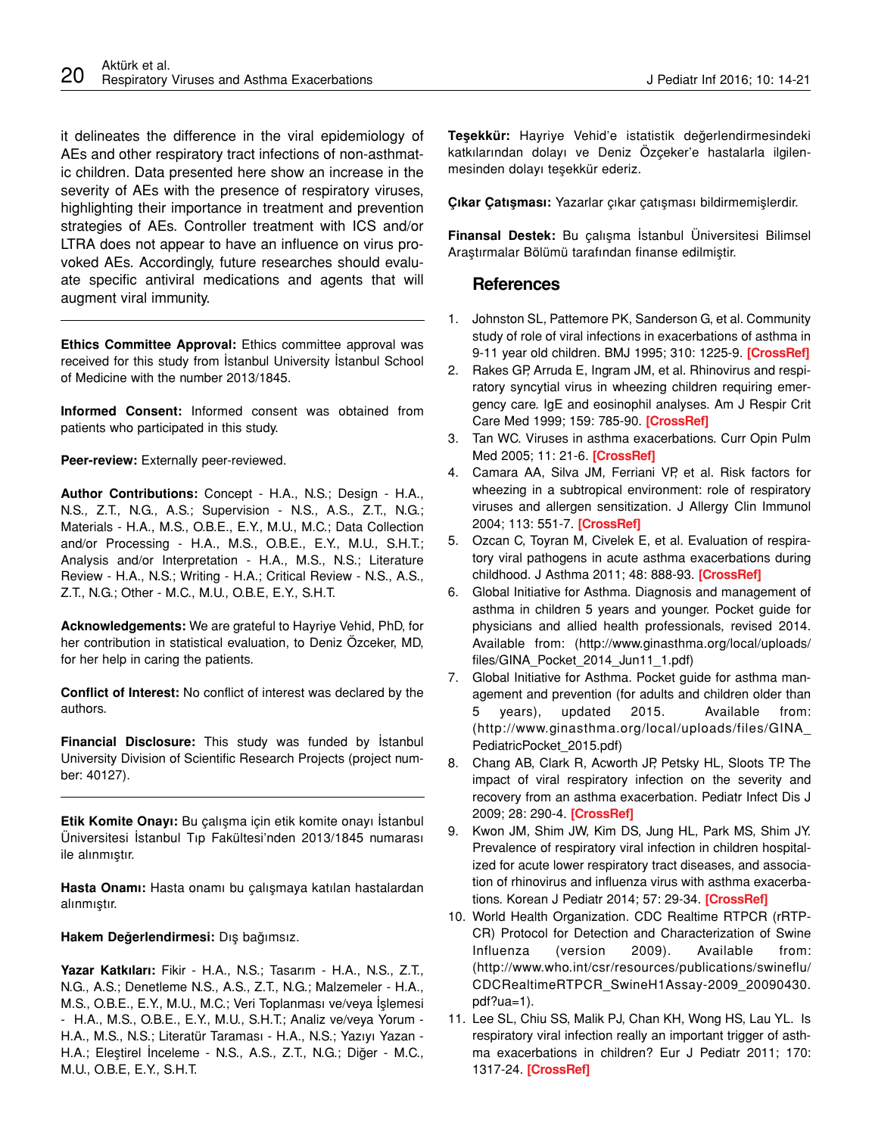it delineates the difference in the viral epidemiology of AEs and other respiratory tract infections of non-asthmatic children. Data presented here show an increase in the severity of AEs with the presence of respiratory viruses, highlighting their importance in treatment and prevention strategies of AEs. Controller treatment with ICS and/or LTRA does not appear to have an influence on virus provoked AEs. Accordingly, future researches should evaluate specific antiviral medications and agents that will augment viral immunity.

**Ethics Committee Approval:** Ethics committee approval was received for this study from İstanbul University İstanbul School of Medicine with the number 2013/1845.

**Informed Consent:** Informed consent was obtained from patients who participated in this study.

**Peer-review:** Externally peer-reviewed.

**Author Contributions:** Concept - H.A., N.S.; Design - H.A., N.S., Z.T., N.G., A.S.; Supervision - N.S., A.S., Z.T., N.G.; Materials - H.A., M.S., O.B.E., E.Y., M.U., M.C.; Data Collection and/or Processing - H.A., M.S., O.B.E., E.Y., M.U., S.H.T.; Analysis and/or Interpretation - H.A., M.S., N.S.; Literature Review - H.A., N.S.; Writing - H.A.; Critical Review - N.S., A.S., Z.T., N.G.; Other - M.C., M.U., O.B.E, E.Y., S.H.T.

**Acknowledgements:** We are grateful to Hayriye Vehid, PhD, for her contribution in statistical evaluation, to Deniz Özceker, MD, for her help in caring the patients.

**Conflict of Interest:** No conflict of interest was declared by the authors.

**Financial Disclosure:** This study was funded by İstanbul University Division of Scientific Research Projects (project number: 40127).

**Etik Komite Onayı:** Bu çalışma için etik komite onayı İstanbul Üniversitesi İstanbul Tıp Fakültesi'nden 2013/1845 numarası ile alınmıştır.

**Hasta Onamı:** Hasta onamı bu çalışmaya katılan hastalardan alınmıştır.

**Hakem Değerlendirmesi:** Dış bağımsız.

**Yazar Katkıları:** Fikir - H.A., N.S.; Tasarım - H.A., N.S., Z.T., N.G., A.S.; Denetleme N.S., A.S., Z.T., N.G.; Malzemeler - H.A., M.S., O.B.E., E.Y., M.U., M.C.; Veri Toplanması ve/veya İşlemesi - H.A., M.S., O.B.E., E.Y., M.U., S.H.T.; Analiz ve/veya Yorum - H.A., M.S., N.S.; Literatür Taraması - H.A., N.S.; Yazıyı Yazan - H.A.; Eleştirel İnceleme - N.S., A.S., Z.T., N.G.; Diğer - M.C., M.U., O.B.E, E.Y., S.H.T.

**Teşekkür:** Hayriye Vehid'e istatistik değerlendirmesindeki katkılarından dolayı ve Deniz Özçeker'e hastalarla ilgilenmesinden dolayı teşekkür ederiz.

**Çıkar Çatışması:** Yazarlar çıkar çatışması bildirmemişlerdir.

**Finansal Destek:** Bu çalışma İstanbul Üniversitesi Bilimsel Araştırmalar Bölümü tarafından finanse edilmiştir.

## **References**

- 1. Johnston SL, Pattemore PK, Sanderson G, et al. Community study of role of viral infections in exacerbations of asthma in 9-11 year old children. BMJ 1995; 310: 1225-9. **[\[CrossRef\]](http://dx.doi.org/10.1136/bmj.310.6989.1225)**
- 2. Rakes GP, Arruda E, Ingram JM, et al. Rhinovirus and respiratory syncytial virus in wheezing children requiring emergency care. IgE and eosinophil analyses. Am J Respir Crit Care Med 1999; 159: 785-90. **[\[CrossRef\]](http://dx.doi.org/10.1164/ajrccm.159.3.9801052)**
- 3. Tan WC. Viruses in asthma exacerbations. Curr Opin Pulm Med 2005; 11: 21-6. **[\[CrossRef\]](http://dx.doi.org/10.1097/01.mcp.0000146781.11092.0d)**
- 4. Camara AA, Silva JM, Ferriani VP, et al. Risk factors for wheezing in a subtropical environment: role of respiratory viruses and allergen sensitization. J Allergy Clin Immunol 2004; 113: 551-7. **[\[CrossRef\]](http://dx.doi.org/10.1016/j.jaci.2003.11.027)**
- 5. Ozcan C, Toyran M, Civelek E, et al. Evaluation of respiratory viral pathogens in acute asthma exacerbations during childhood. J Asthma 2011; 48: 888-93. **[\[CrossRef\]](http://dx.doi.org/10.3109/02770903.2011.606579)**
- 6. Global Initiative for Asthma. Diagnosis and management of asthma in children 5 years and younger. Pocket guide for physicians and allied health professionals, revised 2014. Available from: (http://www.ginasthma.org/local/uploads/ files/GINA\_Pocket\_2014\_Jun11\_1.pdf)
- 7. Global Initiative for Asthma. Pocket guide for asthma management and prevention (for adults and children older than 5 years), updated 2015. Available from: (http://www.ginasthma.org/local/uploads/files/GINA\_ PediatricPocket\_2015.pdf)
- 8. Chang AB, Clark R, Acworth JP, Petsky HL, Sloots TP. The impact of viral respiratory infection on the severity and recovery from an asthma exacerbation. Pediatr Infect Dis J 2009; 28: 290-4. **[\[CrossRef\]](http://dx.doi.org/10.1097/INF.0b013e31819067b1)**
- 9. Kwon JM, Shim JW, Kim DS, Jung HL, Park MS, Shim JY. Prevalence of respiratory viral infection in children hospitalized for acute lower respiratory tract diseases, and association of rhinovirus and influenza virus with asthma exacerbations. Korean J Pediatr 2014; 57: 29-34. **[\[CrossRef\]](http://dx.doi.org/10.3345/kjp.2014.57.1.29)**
- 10. World Health Organization. CDC Realtime RTPCR (rRTP-CR) Protocol for Detection and Characterization of Swine Influenza (version 2009). Available from: (http://www.who.int/csr/resources/publications/swineflu/ CDCRealtimeRTPCR\_SwineH1Assay-2009\_20090430. pdf?ua=1).
- 11. Lee SL, Chiu SS, Malik PJ, Chan KH, Wong HS, Lau YL. Is respiratory viral infection really an important trigger of asthma exacerbations in children? Eur J Pediatr 2011; 170: 1317-24. **[\[CrossRef\]](http://dx.doi.org/10.1007/s00431-011-1446-1)**